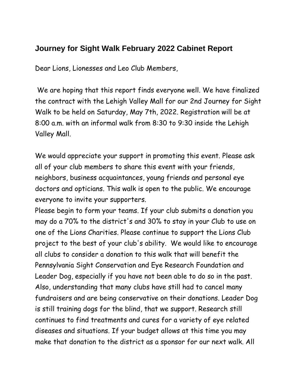## **Journey for Sight Walk February 2022 Cabinet Report**

Dear Lions, Lionesses and Leo Club Members,

We are hoping that this report finds everyone well. We have finalized the contract with the Lehigh Valley Mall for our 2nd Journey for Sight Walk to be held on Saturday, May 7th, 2022. Registration will be at 8:00 a.m. with an informal walk from 8:30 to 9:30 inside the Lehigh Valley Mall.

We would appreciate your support in promoting this event. Please ask all of your club members to share this event with your friends, neighbors, business acquaintances, young friends and personal eye doctors and opticians. This walk is open to the public. We encourage everyone to invite your supporters.

Please begin to form your teams. If your club submits a donation you may do a 70% to the district's and 30% to stay in your Club to use on one of the Lions Charities. Please continue to support the Lions Club project to the best of your club's ability. We would like to encourage all clubs to consider a donation to this walk that will benefit the Pennsylvania Sight Conservation and Eye Research Foundation and Leader Dog, especially if you have not been able to do so in the past. Also, understanding that many clubs have still had to cancel many fundraisers and are being conservative on their donations. Leader Dog is still training dogs for the blind, that we support. Research still continues to find treatments and cures for a variety of eye related diseases and situations. If your budget allows at this time you may make that donation to the district as a sponsor for our next walk. All